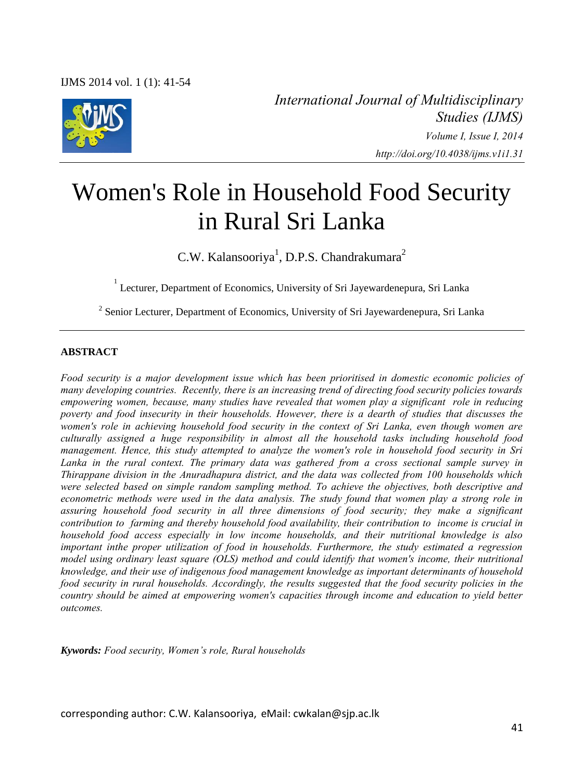

*International Journal of Multidisciplinary Studies (IJMS) Volume I, Issue I, 2014 http://doi.org/10.4038/ijms.v1i1.31* 

# Women's Role in Household Food Security in Rural Sri Lanka

C.W. Kalansooriya<sup>1</sup>, D.P.S. Chandrakumara<sup>2</sup>

1 Lecturer, Department of Economics, University of Sri Jayewardenepura, Sri Lanka

<sup>2</sup> Senior Lecturer, Department of Economics, University of Sri Jayewardenepura, Sri Lanka

#### **ABSTRACT**

*Food security is a major development issue which has been prioritised in domestic economic policies of many developing countries. Recently, there is an increasing trend of directing food security policies towards empowering women, because, many studies have revealed that women play a significant role in reducing poverty and food insecurity in their households. However, there is a dearth of studies that discusses the women's role in achieving household food security in the context of Sri Lanka, even though women are culturally assigned a huge responsibility in almost all the household tasks including household food management. Hence, this study attempted to analyze the women's role in household food security in Sri Lanka in the rural context. The primary data was gathered from a cross sectional sample survey in Thirappane division in the Anuradhapura district, and the data was collected from 100 households which were selected based on simple random sampling method. To achieve the objectives, both descriptive and econometric methods were used in the data analysis. The study found that women play a strong role in assuring household food security in all three dimensions of food security; they make a significant contribution to farming and thereby household food availability, their contribution to income is crucial in household food access especially in low income households, and their nutritional knowledge is also important inthe proper utilization of food in households. Furthermore, the study estimated a regression model using ordinary least square (OLS) method and could identify that women's income, their nutritional knowledge, and their use of indigenous food management knowledge as important determinants of household food security in rural households. Accordingly, the results suggested that the food security policies in the country should be aimed at empowering women's capacities through income and education to yield better outcomes.* 

*Kywords: Food security, Women's role, Rural households*

corresponding author: C.W. Kalansooriya, eMail: cwkalan@sjp.ac.lk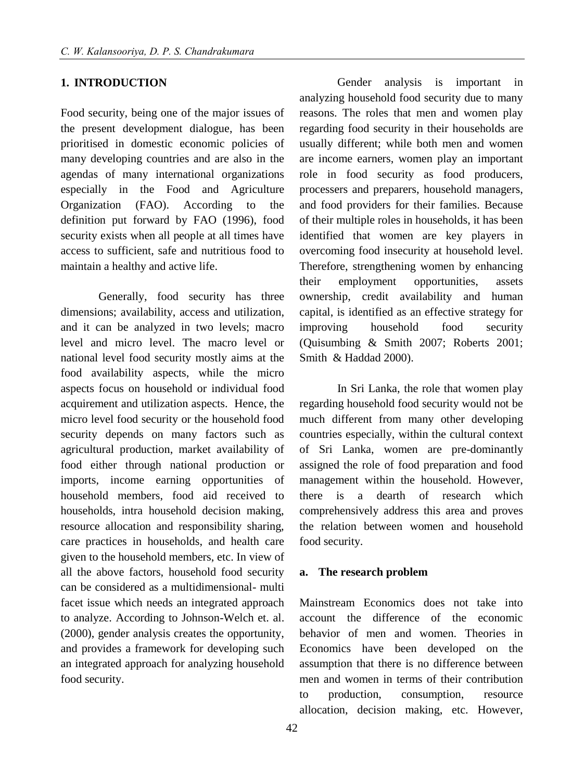### **1. INTRODUCTION**

Food security, being one of the major issues of the present development dialogue, has been prioritised in domestic economic policies of many developing countries and are also in the agendas of many international organizations especially in the Food and Agriculture Organization (FAO). According to the definition put forward by FAO (1996), food security exists when all people at all times have access to sufficient, safe and nutritious food to maintain a healthy and active life.

Generally, food security has three dimensions; availability, access and utilization, and it can be analyzed in two levels; macro level and micro level. The macro level or national level food security mostly aims at the food availability aspects, while the micro aspects focus on household or individual food acquirement and utilization aspects. Hence, the micro level food security or the household food security depends on many factors such as agricultural production, market availability of food either through national production or imports, income earning opportunities of household members, food aid received to households, intra household decision making, resource allocation and responsibility sharing, care practices in households, and health care given to the household members, etc. In view of all the above factors, household food security can be considered as a multidimensional- multi facet issue which needs an integrated approach to analyze. According to Johnson-Welch et. al. (2000), gender analysis creates the opportunity, and provides a framework for developing such an integrated approach for analyzing household food security.

Gender analysis is important in analyzing household food security due to many reasons. The roles that men and women play regarding food security in their households are usually different; while both men and women are income earners, women play an important role in food security as food producers, processers and preparers, household managers, and food providers for their families. Because of their multiple roles in households, it has been identified that women are key players in overcoming food insecurity at household level. Therefore, strengthening women by enhancing their employment opportunities, assets ownership, credit availability and human capital, is identified as an effective strategy for improving household food security (Quisumbing & Smith 2007; Roberts 2001; Smith & Haddad 2000).

In Sri Lanka, the role that women play regarding household food security would not be much different from many other developing countries especially, within the cultural context of Sri Lanka, women are pre-dominantly assigned the role of food preparation and food management within the household. However, there is a dearth of research which comprehensively address this area and proves the relation between women and household food security.

#### **a. The research problem**

Mainstream Economics does not take into account the difference of the economic behavior of men and women. Theories in Economics have been developed on the assumption that there is no difference between men and women in terms of their contribution to production, consumption, resource allocation, decision making, etc. However,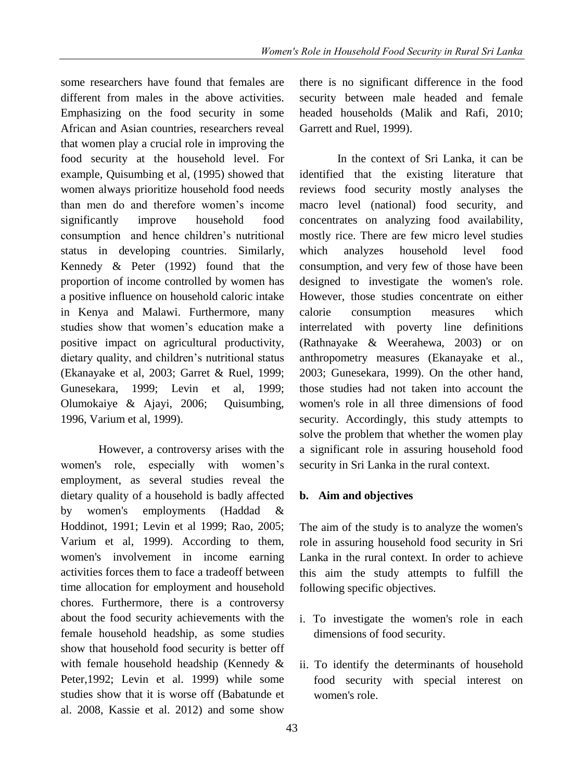some researchers have found that females are different from males in the above activities. Emphasizing on the food security in some African and Asian countries, researchers reveal that women play a crucial role in improving the food security at the household level. For example, Quisumbing et al, (1995) showed that women always prioritize household food needs than men do and therefore women's income significantly improve household food consumption and hence children's nutritional status in developing countries. Similarly, Kennedy & Peter (1992) found that the proportion of income controlled by women has a positive influence on household caloric intake in Kenya and Malawi. Furthermore, many studies show that women's education make a positive impact on agricultural productivity, dietary quality, and children's nutritional status (Ekanayake et al, 2003; Garret & Ruel, 1999; Gunesekara, 1999; Levin et al, 1999; Olumokaiye & Ajayi, 2006; Quisumbing, 1996, Varium et al, 1999).

However, a controversy arises with the women's role, especially with women's employment, as several studies reveal the dietary quality of a household is badly affected by women's employments (Haddad & Hoddinot, 1991; Levin et al 1999; Rao, 2005; Varium et al, 1999). According to them, women's involvement in income earning activities forces them to face a tradeoff between time allocation for employment and household chores. Furthermore, there is a controversy about the food security achievements with the female household headship, as some studies show that household food security is better off with female household headship (Kennedy & Peter,1992; Levin et al. 1999) while some studies show that it is worse off (Babatunde et al. 2008, Kassie et al. 2012) and some show

there is no significant difference in the food security between male headed and female headed households (Malik and Rafi, 2010; Garrett and Ruel, 1999).

In the context of Sri Lanka, it can be identified that the existing literature that reviews food security mostly analyses the macro level (national) food security, and concentrates on analyzing food availability, mostly rice. There are few micro level studies which analyzes household level food consumption, and very few of those have been designed to investigate the women's role. However, those studies concentrate on either calorie consumption measures which interrelated with poverty line definitions (Rathnayake & Weerahewa, 2003) or on anthropometry measures (Ekanayake et al., 2003; Gunesekara, 1999). On the other hand, those studies had not taken into account the women's role in all three dimensions of food security. Accordingly, this study attempts to solve the problem that whether the women play a significant role in assuring household food security in Sri Lanka in the rural context.

# **b. Aim and objectives**

The aim of the study is to analyze the women's role in assuring household food security in Sri Lanka in the rural context. In order to achieve this aim the study attempts to fulfill the following specific objectives.

- i. To investigate the women's role in each dimensions of food security.
- ii. To identify the determinants of household food security with special interest on women's role.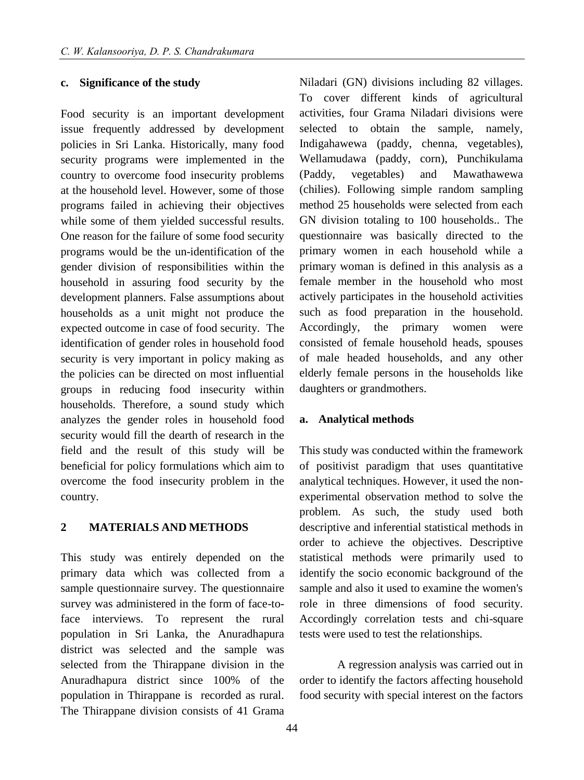#### **c. Significance of the study**

Food security is an important development issue frequently addressed by development policies in Sri Lanka. Historically, many food security programs were implemented in the country to overcome food insecurity problems at the household level. However, some of those programs failed in achieving their objectives while some of them yielded successful results. One reason for the failure of some food security programs would be the un-identification of the gender division of responsibilities within the household in assuring food security by the development planners. False assumptions about households as a unit might not produce the expected outcome in case of food security. The identification of gender roles in household food security is very important in policy making as the policies can be directed on most influential groups in reducing food insecurity within households. Therefore, a sound study which analyzes the gender roles in household food security would fill the dearth of research in the field and the result of this study will be beneficial for policy formulations which aim to overcome the food insecurity problem in the country.

## **2 MATERIALS AND METHODS**

This study was entirely depended on the primary data which was collected from a sample questionnaire survey. The questionnaire survey was administered in the form of face-toface interviews. To represent the rural population in Sri Lanka, the Anuradhapura district was selected and the sample was selected from the Thirappane division in the Anuradhapura district since 100% of the population in Thirappane is recorded as rural. The Thirappane division consists of 41 Grama

Niladari (GN) divisions including 82 villages. To cover different kinds of agricultural activities, four Grama Niladari divisions were selected to obtain the sample, namely, Indigahawewa (paddy, chenna, vegetables), Wellamudawa (paddy, corn), Punchikulama (Paddy, vegetables) and Mawathawewa (chilies). Following simple random sampling method 25 households were selected from each GN division totaling to 100 households.. The questionnaire was basically directed to the primary women in each household while a primary woman is defined in this analysis as a female member in the household who most actively participates in the household activities such as food preparation in the household. Accordingly, the primary women were consisted of female household heads, spouses of male headed households, and any other elderly female persons in the households like daughters or grandmothers.

#### **a. Analytical methods**

This study was conducted within the framework of positivist paradigm that uses quantitative analytical techniques. However, it used the nonexperimental observation method to solve the problem. As such, the study used both descriptive and inferential statistical methods in order to achieve the objectives. Descriptive statistical methods were primarily used to identify the socio economic background of the sample and also it used to examine the women's role in three dimensions of food security. Accordingly correlation tests and chi-square tests were used to test the relationships.

A regression analysis was carried out in order to identify the factors affecting household food security with special interest on the factors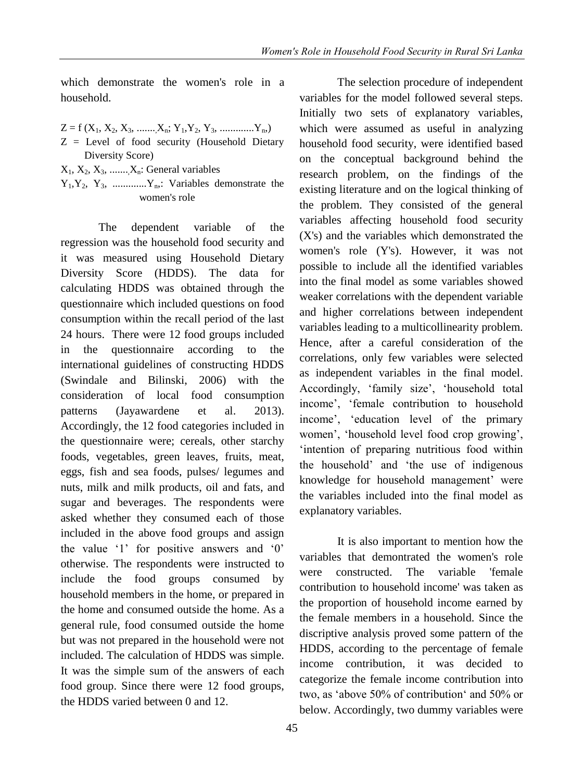which demonstrate the women's role in a household.

- $Z = f(X_1, X_2, X_3, \ldots, X_n; Y_1, Y_2, Y_3, \ldots, X_n)$
- Z = Level of food security (Household Dietary Diversity Score)
- $X_1, X_2, X_3, \ldots, X_n$ : General variables
- $Y_1, Y_2, Y_3, \dots, Y_n$ . Variables demonstrate the women's role

The dependent variable of the regression was the household food security and it was measured using Household Dietary Diversity Score (HDDS). The data for calculating HDDS was obtained through the questionnaire which included questions on food consumption within the recall period of the last 24 hours. There were 12 food groups included in the questionnaire according to the international guidelines of constructing HDDS (Swindale and Bilinski, 2006) with the consideration of local food consumption patterns (Jayawardene et al. 2013). Accordingly, the 12 food categories included in the questionnaire were; cereals, other starchy foods, vegetables, green leaves, fruits, meat, eggs, fish and sea foods, pulses/ legumes and nuts, milk and milk products, oil and fats, and sugar and beverages. The respondents were asked whether they consumed each of those included in the above food groups and assign the value '1' for positive answers and '0' otherwise. The respondents were instructed to include the food groups consumed by household members in the home, or prepared in the home and consumed outside the home. As a general rule, food consumed outside the home but was not prepared in the household were not included. The calculation of HDDS was simple. It was the simple sum of the answers of each food group. Since there were 12 food groups, the HDDS varied between 0 and 12.

The selection procedure of independent variables for the model followed several steps. Initially two sets of explanatory variables, which were assumed as useful in analyzing household food security, were identified based on the conceptual background behind the research problem, on the findings of the existing literature and on the logical thinking of the problem. They consisted of the general variables affecting household food security (X's) and the variables which demonstrated the women's role (Y's). However, it was not possible to include all the identified variables into the final model as some variables showed weaker correlations with the dependent variable and higher correlations between independent variables leading to a multicollinearity problem. Hence, after a careful consideration of the correlations, only few variables were selected as independent variables in the final model. Accordingly, 'family size', 'household total income', 'female contribution to household income', 'education level of the primary women', 'household level food crop growing', 'intention of preparing nutritious food within the household' and 'the use of indigenous knowledge for household management' were the variables included into the final model as explanatory variables.

It is also important to mention how the variables that demontrated the women's role were constructed. The variable 'female contribution to household income' was taken as the proportion of household income earned by the female members in a household. Since the discriptive analysis proved some pattern of the HDDS, according to the percentage of female income contribution, it was decided to categorize the female income contribution into two, as 'above 50% of contribution' and 50% or below. Accordingly, two dummy variables were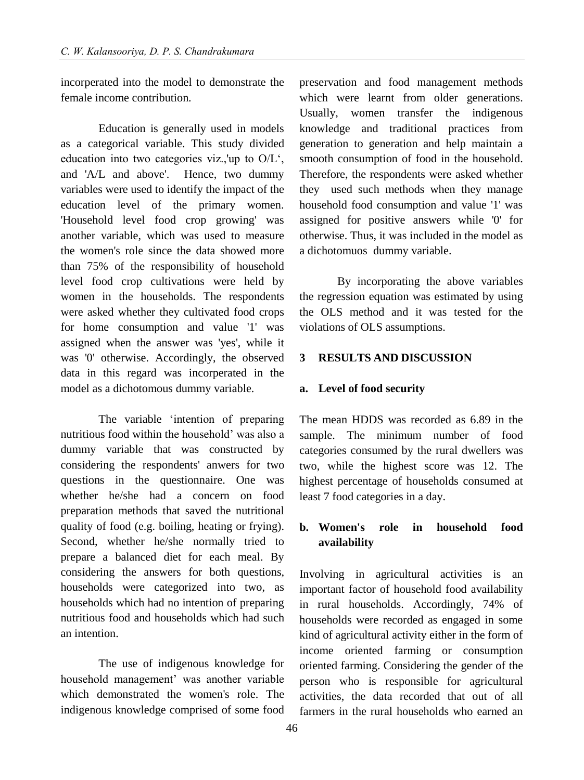incorperated into the model to demonstrate the female income contribution.

Education is generally used in models as a categorical variable. This study divided education into two categories viz.,'up to O/L', and 'A/L and above'. Hence, two dummy variables were used to identify the impact of the education level of the primary women. 'Household level food crop growing' was another variable, which was used to measure the women's role since the data showed more than 75% of the responsibility of household level food crop cultivations were held by women in the households. The respondents were asked whether they cultivated food crops for home consumption and value '1' was assigned when the answer was 'yes', while it was '0' otherwise. Accordingly, the observed data in this regard was incorperated in the model as a dichotomous dummy variable.

The variable 'intention of preparing nutritious food within the household' was also a dummy variable that was constructed by considering the respondents' anwers for two questions in the questionnaire. One was whether he/she had a concern on food preparation methods that saved the nutritional quality of food (e.g. boiling, heating or frying). Second, whether he/she normally tried to prepare a balanced diet for each meal. By considering the answers for both questions, households were categorized into two, as households which had no intention of preparing nutritious food and households which had such an intention.

The use of indigenous knowledge for household management' was another variable which demonstrated the women's role. The indigenous knowledge comprised of some food preservation and food management methods which were learnt from older generations. Usually, women transfer the indigenous knowledge and traditional practices from generation to generation and help maintain a smooth consumption of food in the household. Therefore, the respondents were asked whether they used such methods when they manage household food consumption and value '1' was assigned for positive answers while '0' for otherwise. Thus, it was included in the model as a dichotomuos dummy variable.

By incorporating the above variables the regression equation was estimated by using the OLS method and it was tested for the violations of OLS assumptions.

## **3 RESULTS AND DISCUSSION**

#### **a. Level of food security**

The mean HDDS was recorded as 6.89 in the sample. The minimum number of food categories consumed by the rural dwellers was two, while the highest score was 12. The highest percentage of households consumed at least 7 food categories in a day.

# **b. Women's role in household food availability**

Involving in agricultural activities is an important factor of household food availability in rural households. Accordingly, 74% of households were recorded as engaged in some kind of agricultural activity either in the form of income oriented farming or consumption oriented farming. Considering the gender of the person who is responsible for agricultural activities, the data recorded that out of all farmers in the rural households who earned an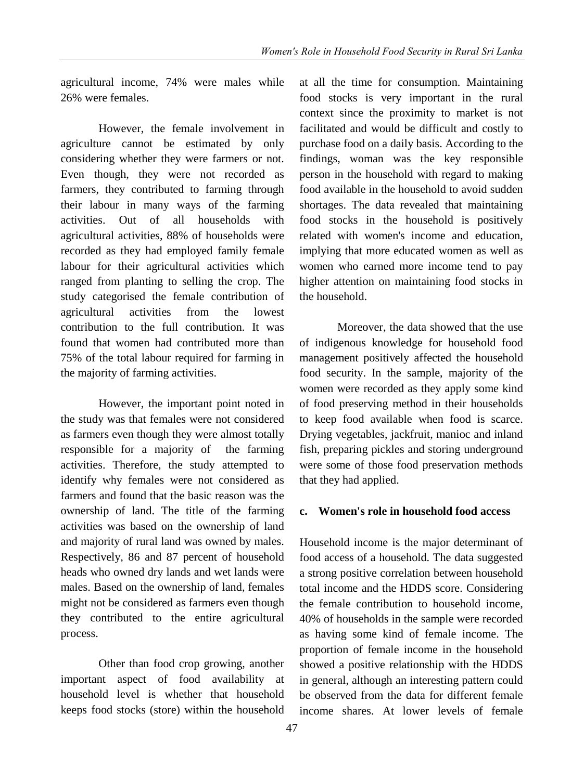agricultural income, 74% were males while 26% were females.

However, the female involvement in agriculture cannot be estimated by only considering whether they were farmers or not. Even though, they were not recorded as farmers, they contributed to farming through their labour in many ways of the farming activities. Out of all households with agricultural activities, 88% of households were recorded as they had employed family female labour for their agricultural activities which ranged from planting to selling the crop. The study categorised the female contribution of agricultural activities from the lowest contribution to the full contribution. It was found that women had contributed more than 75% of the total labour required for farming in the majority of farming activities.

However, the important point noted in the study was that females were not considered as farmers even though they were almost totally responsible for a majority of the farming activities. Therefore, the study attempted to identify why females were not considered as farmers and found that the basic reason was the ownership of land. The title of the farming activities was based on the ownership of land and majority of rural land was owned by males. Respectively, 86 and 87 percent of household heads who owned dry lands and wet lands were males. Based on the ownership of land, females might not be considered as farmers even though they contributed to the entire agricultural process.

Other than food crop growing, another important aspect of food availability at household level is whether that household keeps food stocks (store) within the household at all the time for consumption. Maintaining food stocks is very important in the rural context since the proximity to market is not facilitated and would be difficult and costly to purchase food on a daily basis. According to the findings, woman was the key responsible person in the household with regard to making food available in the household to avoid sudden shortages. The data revealed that maintaining food stocks in the household is positively related with women's income and education, implying that more educated women as well as women who earned more income tend to pay higher attention on maintaining food stocks in the household.

 Moreover, the data showed that the use of indigenous knowledge for household food management positively affected the household food security. In the sample, majority of the women were recorded as they apply some kind of food preserving method in their households to keep food available when food is scarce. Drying vegetables, jackfruit, manioc and inland fish, preparing pickles and storing underground were some of those food preservation methods that they had applied.

## **c. Women's role in household food access**

Household income is the major determinant of food access of a household. The data suggested a strong positive correlation between household total income and the HDDS score. Considering the female contribution to household income, 40% of households in the sample were recorded as having some kind of female income. The proportion of female income in the household showed a positive relationship with the HDDS in general, although an interesting pattern could be observed from the data for different female income shares. At lower levels of female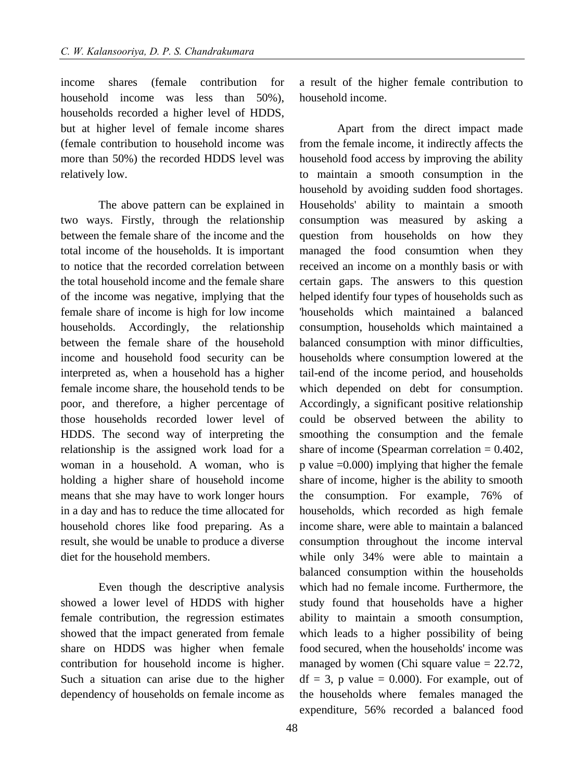income shares (female contribution for household income was less than 50%), households recorded a higher level of HDDS, but at higher level of female income shares (female contribution to household income was more than 50%) the recorded HDDS level was relatively low.

The above pattern can be explained in two ways. Firstly, through the relationship between the female share of the income and the total income of the households. It is important to notice that the recorded correlation between the total household income and the female share of the income was negative, implying that the female share of income is high for low income households. Accordingly, the relationship between the female share of the household income and household food security can be interpreted as, when a household has a higher female income share, the household tends to be poor, and therefore, a higher percentage of those households recorded lower level of HDDS. The second way of interpreting the relationship is the assigned work load for a woman in a household. A woman, who is holding a higher share of household income means that she may have to work longer hours in a day and has to reduce the time allocated for household chores like food preparing. As a result, she would be unable to produce a diverse diet for the household members.

Even though the descriptive analysis showed a lower level of HDDS with higher female contribution, the regression estimates showed that the impact generated from female share on HDDS was higher when female contribution for household income is higher. Such a situation can arise due to the higher dependency of households on female income as

a result of the higher female contribution to household income.

Apart from the direct impact made from the female income, it indirectly affects the household food access by improving the ability to maintain a smooth consumption in the household by avoiding sudden food shortages. Households' ability to maintain a smooth consumption was measured by asking a question from households on how they managed the food consumtion when they received an income on a monthly basis or with certain gaps. The answers to this question helped identify four types of households such as 'households which maintained a balanced consumption, households which maintained a balanced consumption with minor difficulties, households where consumption lowered at the tail-end of the income period, and households which depended on debt for consumption. Accordingly, a significant positive relationship could be observed between the ability to smoothing the consumption and the female share of income (Spearman correlation  $= 0.402$ , p value  $=0.000$  implying that higher the female share of income, higher is the ability to smooth the consumption. For example, 76% of households, which recorded as high female income share, were able to maintain a balanced consumption throughout the income interval while only 34% were able to maintain a balanced consumption within the households which had no female income. Furthermore, the study found that households have a higher ability to maintain a smooth consumption, which leads to a higher possibility of being food secured, when the households' income was managed by women (Chi square value  $= 22.72$ ,  $df = 3$ , p value = 0.000). For example, out of the households where females managed the expenditure, 56% recorded a balanced food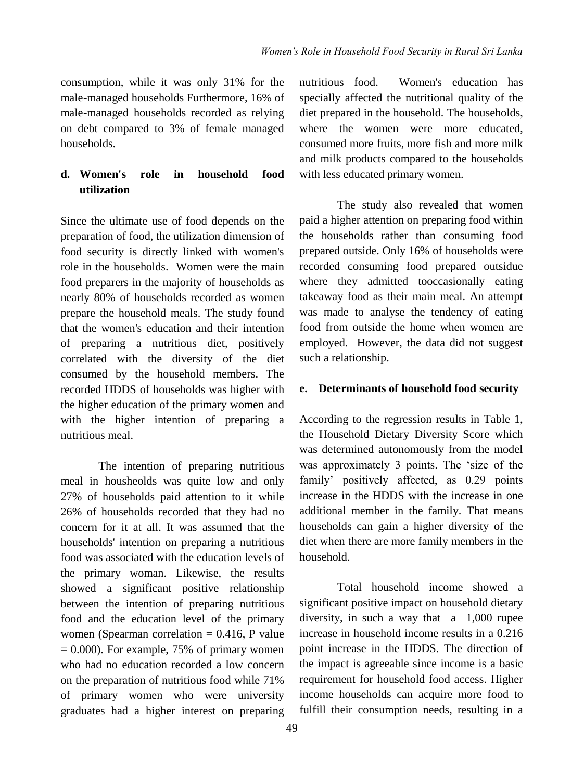consumption, while it was only 31% for the male-managed households Furthermore, 16% of male-managed households recorded as relying on debt compared to 3% of female managed households.

# **d. Women's role in household food utilization**

Since the ultimate use of food depends on the preparation of food, the utilization dimension of food security is directly linked with women's role in the households. Women were the main food preparers in the majority of households as nearly 80% of households recorded as women prepare the household meals. The study found that the women's education and their intention of preparing a nutritious diet, positively correlated with the diversity of the diet consumed by the household members. The recorded HDDS of households was higher with the higher education of the primary women and with the higher intention of preparing a nutritious meal.

The intention of preparing nutritious meal in housheolds was quite low and only 27% of households paid attention to it while 26% of households recorded that they had no concern for it at all. It was assumed that the households' intention on preparing a nutritious food was associated with the education levels of the primary woman. Likewise, the results showed a significant positive relationship between the intention of preparing nutritious food and the education level of the primary women (Spearman correlation  $= 0.416$ , P value  $= 0.000$ ). For example, 75% of primary women who had no education recorded a low concern on the preparation of nutritious food while 71% of primary women who were university graduates had a higher interest on preparing nutritious food. Women's education has specially affected the nutritional quality of the diet prepared in the household. The households, where the women were more educated, consumed more fruits, more fish and more milk and milk products compared to the households with less educated primary women.

The study also revealed that women paid a higher attention on preparing food within the households rather than consuming food prepared outside. Only 16% of households were recorded consuming food prepared outsidue where they admitted tooccasionally eating takeaway food as their main meal. An attempt was made to analyse the tendency of eating food from outside the home when women are employed. However, the data did not suggest such a relationship.

# **e. Determinants of household food security**

According to the regression results in Table 1, the Household Dietary Diversity Score which was determined autonomously from the model was approximately 3 points. The 'size of the family' positively affected, as 0.29 points increase in the HDDS with the increase in one additional member in the family. That means households can gain a higher diversity of the diet when there are more family members in the household.

Total household income showed a significant positive impact on household dietary diversity, in such a way that a 1,000 rupee increase in household income results in a 0.216 point increase in the HDDS. The direction of the impact is agreeable since income is a basic requirement for household food access. Higher income households can acquire more food to fulfill their consumption needs, resulting in a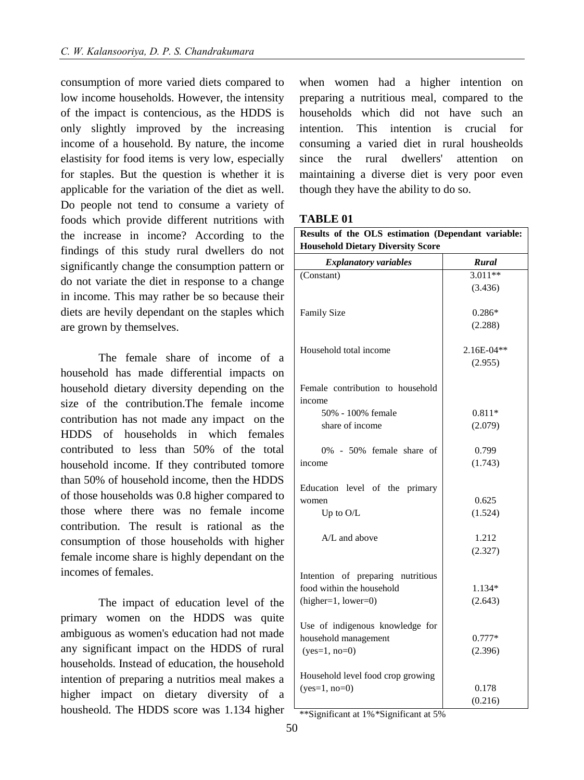consumption of more varied diets compared to low income households. However, the intensity of the impact is contencious, as the HDDS is only slightly improved by the increasing income of a household. By nature, the income elastisity for food items is very low, especially for staples. But the question is whether it is applicable for the variation of the diet as well. Do people not tend to consume a variety of foods which provide different nutritions with the increase in income? According to the findings of this study rural dwellers do not significantly change the consumption pattern or do not variate the diet in response to a change in income. This may rather be so because their diets are hevily dependant on the staples which are grown by themselves.

The female share of income of a household has made differential impacts on household dietary diversity depending on the size of the contribution.The female income contribution has not made any impact on the HDDS of households in which females contributed to less than 50% of the total household income. If they contributed tomore than 50% of household income, then the HDDS of those households was 0.8 higher compared to those where there was no female income contribution. The result is rational as the consumption of those households with higher female income share is highly dependant on the incomes of females.

The impact of education level of the primary women on the HDDS was quite ambiguous as women's education had not made any significant impact on the HDDS of rural households. Instead of education, the household intention of preparing a nutritios meal makes a higher impact on dietary diversity of a housheold. The HDDS score was 1.134 higher

when women had a higher intention on preparing a nutritious meal, compared to the households which did not have such an intention. This intention is crucial for consuming a varied diet in rural housheolds since the rural dwellers' attention on maintaining a diverse diet is very poor even though they have the ability to do so.

# **TABLE 01**

| Results of the OLS estimation (Dependant variable:<br><b>Household Dietary Diversity Score</b> |              |
|------------------------------------------------------------------------------------------------|--------------|
| <b>Explanatory variables</b>                                                                   | Rural        |
| (Constant)                                                                                     | $3.011**$    |
|                                                                                                | (3.436)      |
| <b>Family Size</b>                                                                             | $0.286*$     |
|                                                                                                | (2.288)      |
| Household total income                                                                         | $2.16E-04**$ |
|                                                                                                | (2.955)      |
| Female contribution to household<br>income                                                     |              |
| 50% - 100% female                                                                              | $0.811*$     |
| share of income                                                                                | (2.079)      |
| 0% - 50% female share of                                                                       | 0.799        |
| income                                                                                         | (1.743)      |
| Education level of the primary                                                                 |              |
| women                                                                                          | 0.625        |
| Up to $O/L$                                                                                    | (1.524)      |
| A/L and above                                                                                  | 1.212        |
|                                                                                                | (2.327)      |
| Intention of preparing nutritious                                                              |              |
| food within the household                                                                      | 1.134*       |
| $(higher=1, lower=0)$                                                                          | (2.643)      |
| Use of indigenous knowledge for                                                                |              |
| household management                                                                           | $0.777*$     |
| $(yes=1, no=0)$                                                                                | (2.396)      |
| Household level food crop growing                                                              |              |
| $(yes=1, no=0)$                                                                                | 0.178        |
|                                                                                                | (0.216)      |

\*\*Significant at 1% \*Significant at 5%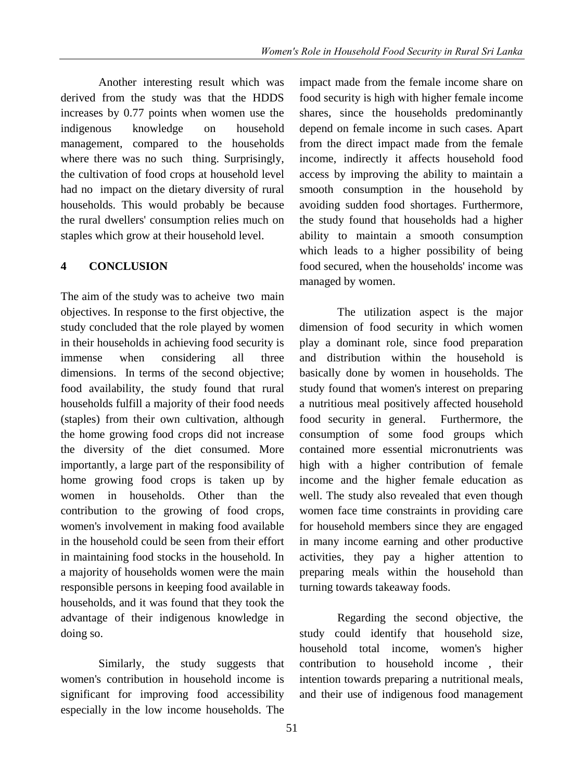Another interesting result which was derived from the study was that the HDDS increases by 0.77 points when women use the indigenous knowledge on household management, compared to the households where there was no such thing. Surprisingly, the cultivation of food crops at household level had no impact on the dietary diversity of rural households. This would probably be because the rural dwellers' consumption relies much on staples which grow at their household level.

## **4 CONCLUSION**

The aim of the study was to acheive two main objectives. In response to the first objective, the study concluded that the role played by women in their households in achieving food security is immense when considering all three dimensions. In terms of the second objective; food availability, the study found that rural households fulfill a majority of their food needs (staples) from their own cultivation, although the home growing food crops did not increase the diversity of the diet consumed. More importantly, a large part of the responsibility of home growing food crops is taken up by women in households. Other than the contribution to the growing of food crops, women's involvement in making food available in the household could be seen from their effort in maintaining food stocks in the household. In a majority of households women were the main responsible persons in keeping food available in households, and it was found that they took the advantage of their indigenous knowledge in doing so.

 Similarly, the study suggests that women's contribution in household income is significant for improving food accessibility especially in the low income households. The impact made from the female income share on food security is high with higher female income shares, since the households predominantly depend on female income in such cases. Apart from the direct impact made from the female income, indirectly it affects household food access by improving the ability to maintain a smooth consumption in the household by avoiding sudden food shortages. Furthermore, the study found that households had a higher ability to maintain a smooth consumption which leads to a higher possibility of being food secured, when the households' income was managed by women.

The utilization aspect is the major dimension of food security in which women play a dominant role, since food preparation and distribution within the household is basically done by women in households. The study found that women's interest on preparing a nutritious meal positively affected household food security in general. Furthermore, the consumption of some food groups which contained more essential micronutrients was high with a higher contribution of female income and the higher female education as well. The study also revealed that even though women face time constraints in providing care for household members since they are engaged in many income earning and other productive activities, they pay a higher attention to preparing meals within the household than turning towards takeaway foods.

Regarding the second objective, the study could identify that household size, household total income, women's higher contribution to household income , their intention towards preparing a nutritional meals, and their use of indigenous food management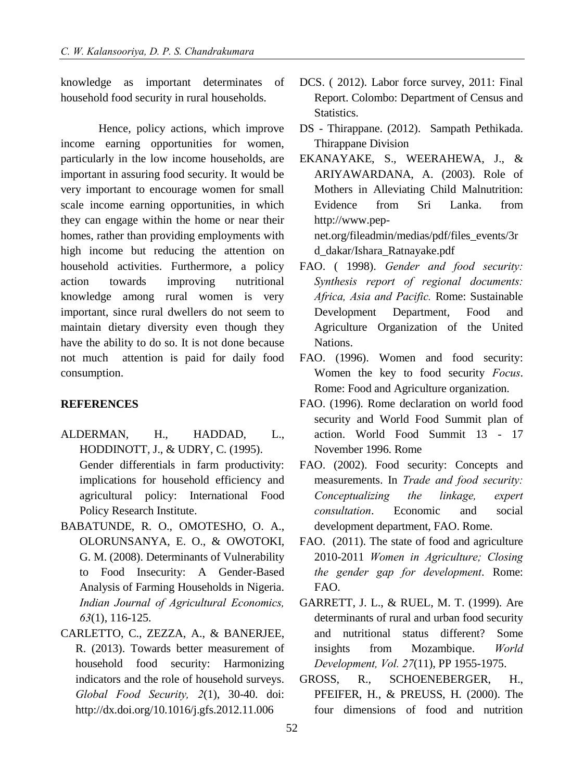knowledge as important determinates of household food security in rural households.

Hence, policy actions, which improve income earning opportunities for women, particularly in the low income households, are important in assuring food security. It would be very important to encourage women for small scale income earning opportunities, in which they can engage within the home or near their homes, rather than providing employments with high income but reducing the attention on household activities. Furthermore, a policy action towards improving nutritional knowledge among rural women is very important, since rural dwellers do not seem to maintain dietary diversity even though they have the ability to do so. It is not done because not much attention is paid for daily food consumption.

## **REFERENCES**

- ALDERMAN, H., HADDAD, L., HODDINOTT, J., & UDRY, C. (1995). Gender differentials in farm productivity: implications for household efficiency and agricultural policy: International Food Policy Research Institute.
- BABATUNDE, R. O., OMOTESHO, O. A., OLORUNSANYA, E. O., & OWOTOKI, G. M. (2008). Determinants of Vulnerability to Food Insecurity: A Gender-Based Analysis of Farming Households in Nigeria. *Indian Journal of Agricultural Economics, 63*(1), 116-125.
- CARLETTO, C., ZEZZA, A., & BANERJEE, R. (2013). Towards better measurement of household food security: Harmonizing indicators and the role of household surveys. *Global Food Security, 2*(1), 30-40. doi: http://dx.doi.org/10.1016/j.gfs.2012.11.006
- DCS. ( 2012). Labor force survey, 2011: Final Report. Colombo: Department of Census and Statistics.
- DS Thirappane. (2012). Sampath Pethikada. Thirappane Division
- EKANAYAKE, S., WEERAHEWA, J., & ARIYAWARDANA, A. (2003). Role of Mothers in Alleviating Child Malnutrition: Evidence from Sri Lanka. from http://www.pepnet.org/fileadmin/medias/pdf/files\_events/3r d\_dakar/Ishara\_Ratnayake.pdf
- FAO. ( 1998). *Gender and food security: Synthesis report of regional documents: Africa, Asia and Pacific.* Rome: Sustainable Development Department, Food and Agriculture Organization of the United Nations.
- FAO. (1996). Women and food security: Women the key to food security *Focus*. Rome: Food and Agriculture organization.
- FAO. (1996). Rome declaration on world food security and World Food Summit plan of action. World Food Summit 13 - 17 November 1996. Rome
- FAO. (2002). Food security: Concepts and measurements. In *Trade and food security: Conceptualizing the linkage, expert consultation*. Economic and social development department, FAO. Rome.
- FAO. (2011). The state of food and agriculture 2010-2011 *Women in Agriculture; Closing the gender gap for development*. Rome: FAO.
- GARRETT, J. L., & RUEL, M. T. (1999). Are determinants of rural and urban food security and nutritional status different? Some insights from Mozambique. *World Development, Vol. 27*(11), PP 1955-1975.
- GROSS, R., SCHOENEBERGER, H., PFEIFER, H., & PREUSS, H. (2000). The four dimensions of food and nutrition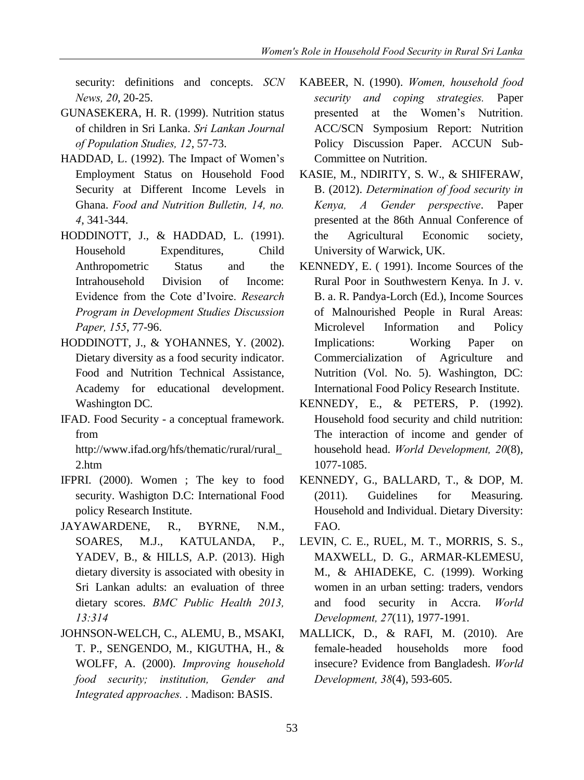security: definitions and concepts. *SCN News, 20*, 20-25.

- GUNASEKERA, H. R. (1999). Nutrition status of children in Sri Lanka. *Sri Lankan Journal of Population Studies, 12*, 57-73.
- HADDAD, L. (1992). The Impact of Women's Employment Status on Household Food Security at Different Income Levels in Ghana. *Food and Nutrition Bulletin, 14, no. 4*, 341-344.
- HODDINOTT, J., & HADDAD, L. (1991). Household Expenditures, Child Anthropometric Status and the Intrahousehold Division of Income: Evidence from the Cote d'Ivoire. *Research Program in Development Studies Discussion Paper, 155*, 77-96.
- HODDINOTT, J., & YOHANNES, Y. (2002). Dietary diversity as a food security indicator. Food and Nutrition Technical Assistance, Academy for educational development. Washington DC.
- IFAD. Food Security a conceptual framework. from

http://www.ifad.org/hfs/thematic/rural/rural\_ 2.htm

- IFPRI. (2000). Women ; The key to food security. Washigton D.C: International Food policy Research Institute.
- JAYAWARDENE, R., BYRNE, N.M., SOARES, M.J., KATULANDA, P., YADEV, B., & HILLS, A.P. (2013). High dietary diversity is associated with obesity in Sri Lankan adults: an evaluation of three dietary scores. *BMC Public Health 2013, 13:314*
- JOHNSON-WELCH, C., ALEMU, B., MSAKI, T. P., SENGENDO, M., KIGUTHA, H., & WOLFF, A. (2000). *Improving household food security; institution, Gender and Integrated approaches.* . Madison: BASIS.
- KABEER, N. (1990). *Women, household food security and coping strategies.* Paper presented at the Women's Nutrition. ACC/SCN Symposium Report: Nutrition Policy Discussion Paper. ACCUN Sub-Committee on Nutrition.
- KASIE, M., NDIRITY, S. W., & SHIFERAW, B. (2012). *Determination of food security in Kenya, A Gender perspective*. Paper presented at the 86th Annual Conference of the Agricultural Economic society, University of Warwick, UK.
- KENNEDY, E. ( 1991). Income Sources of the Rural Poor in Southwestern Kenya. In J. v. B. a. R. Pandya-Lorch (Ed.), Income Sources of Malnourished People in Rural Areas: Microlevel Information and Policy Implications: Working Paper on Commercialization of Agriculture and Nutrition (Vol. No. 5). Washington, DC: International Food Policy Research Institute.
- KENNEDY, E., & PETERS, P. (1992). Household food security and child nutrition: The interaction of income and gender of household head. *World Development, 20*(8), 1077-1085.
- KENNEDY, G., BALLARD, T., & DOP, M. (2011). Guidelines for Measuring. Household and Individual. Dietary Diversity: FAO.
- LEVIN, C. E., RUEL, M. T., MORRIS, S. S., MAXWELL, D. G., ARMAR-KLEMESU, M., & AHIADEKE, C. (1999). Working women in an urban setting: traders, vendors and food security in Accra. *World Development, 27*(11), 1977-1991.
- MALLICK, D., & RAFI, M. (2010). Are female-headed households more food insecure? Evidence from Bangladesh. *World Development, 38*(4), 593-605.